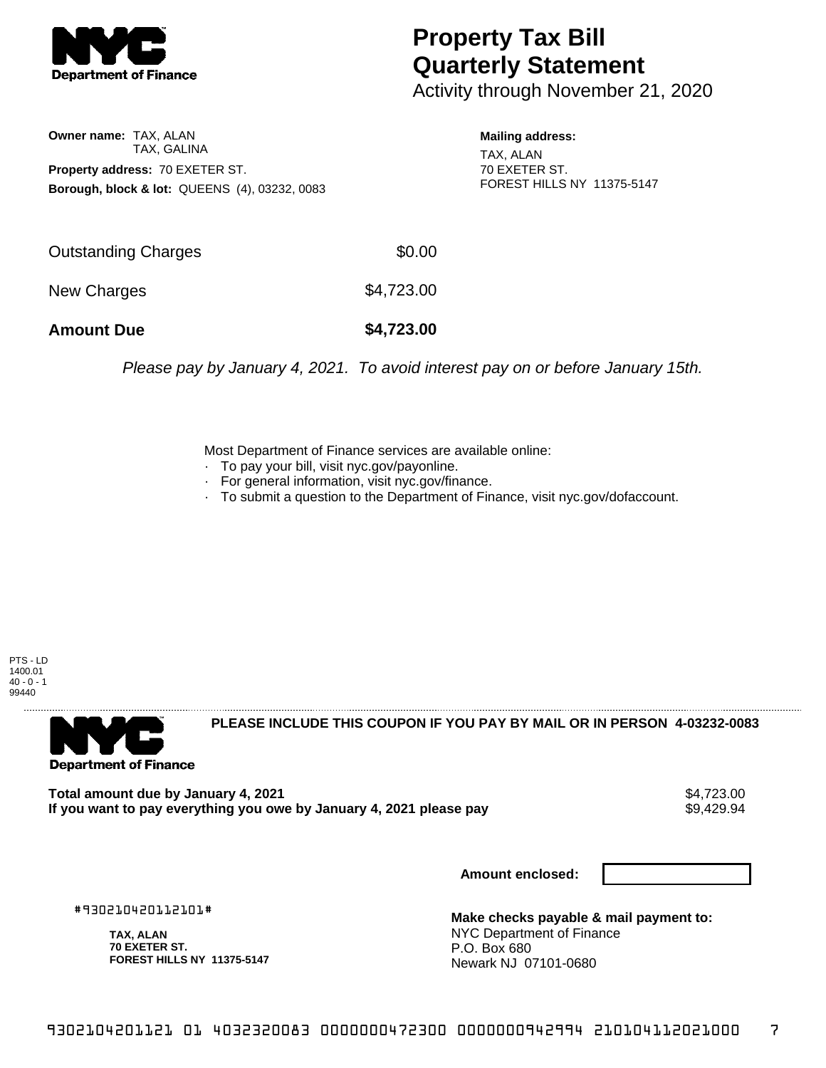

## **Property Tax Bill Quarterly Statement**

Activity through November 21, 2020

**Owner name:** TAX, ALAN TAX, GALINA **Property address:** 70 EXETER ST. **Borough, block & lot:** QUEENS (4), 03232, 0083 **Mailing address:**

TAX, ALAN 70 EXETER ST. FOREST HILLS NY 11375-5147

| \$4,723.00 | New Charges         |            |
|------------|---------------------|------------|
|            | <b>Amount Due</b>   | \$4,723.00 |
|            | Outstanding Charges | \$0.00     |

Please pay by January 4, 2021. To avoid interest pay on or before January 15th.

Most Department of Finance services are available online:

- · To pay your bill, visit nyc.gov/payonline.
- For general information, visit nyc.gov/finance.
- · To submit a question to the Department of Finance, visit nyc.gov/dofaccount.

PTS - LD 1400.01  $40 - 0 - 1$ 99440



**PLEASE INCLUDE THIS COUPON IF YOU PAY BY MAIL OR IN PERSON 4-03232-0083** 

Total amount due by January 4, 2021<br>If you want to pay everything you owe by January 4, 2021 please pay **show that the summary setting** \$9,429.94 If you want to pay everything you owe by January 4, 2021 please pay

**Amount enclosed:**

#930210420112101#

**TAX, ALAN 70 EXETER ST. FOREST HILLS NY 11375-5147**

**Make checks payable & mail payment to:** NYC Department of Finance P.O. Box 680 Newark NJ 07101-0680